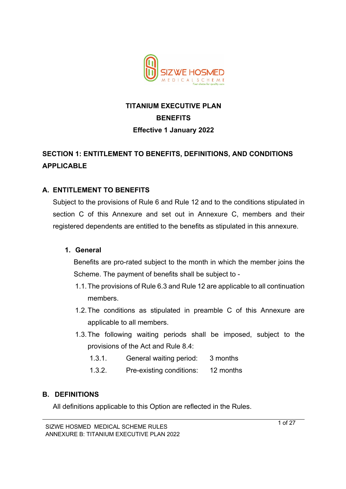

# **TITANIUM EXECUTIVE PLAN BENEFITS Effective 1 January 2022**

# **SECTION 1: ENTITLEMENT TO BENEFITS, DEFINITIONS, AND CONDITIONS APPLICABLE**

## **A. ENTITLEMENT TO BENEFITS**

Subject to the provisions of Rule 6 and Rule 12 and to the conditions stipulated in section C of this Annexure and set out in Annexure C, members and their registered dependents are entitled to the benefits as stipulated in this annexure.

## **1. General**

Benefits are pro-rated subject to the month in which the member joins the Scheme. The payment of benefits shall be subject to -

- 1.1.The provisions of Rule 6.3 and Rule 12 are applicable to all continuation members.
- 1.2.The conditions as stipulated in preamble C of this Annexure are applicable to all members.
- 1.3.The following waiting periods shall be imposed, subject to the provisions of the Act and Rule 8.4:
	- 1.3.1. General waiting period: 3 months
	- 1.3.2. Pre-existing conditions: 12 months

### **B. DEFINITIONS**

All definitions applicable to this Option are reflected in the Rules.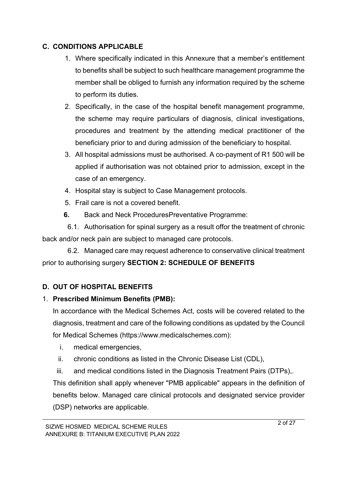## **C. CONDITIONS APPLICABLE**

- 1. Where specifically indicated in this Annexure that a member's entitlement to benefits shall be subject to such healthcare management programme the member shall be obliged to furnish any information required by the scheme to perform its duties.
- 2. Specifically, in the case of the hospital benefit management programme, the scheme may require particulars of diagnosis, clinical investigations, procedures and treatment by the attending medical practitioner of the beneficiary prior to and during admission of the beneficiary to hospital.
- 3. All hospital admissions must be authorised. A co-payment of R1 500 will be applied if authorisation was not obtained prior to admission, except in the case of an emergency.
- 4. Hospital stay is subject to Case Management protocols.
- 5. Frail care is not a covered benefit.
- **6.** Back and Neck ProceduresPreventative Programme:

 6.1. Authorisation for spinal surgery as a result offor the treatment of chronic back and/or neck pain are subject to managed care protocols.

 6.2. Managed care may request adherence to conservative clinical treatment prior to authorising surgery **SECTION 2: SCHEDULE OF BENEFITS**

## **D. OUT OF HOSPITAL BENEFITS**

## 1. **Prescribed Minimum Benefits (PMB):**

In accordance with the Medical Schemes Act, costs will be covered related to the diagnosis, treatment and care of the following conditions as updated by the Council for Medical Schemes (https://www.medicalschemes.com):

- i. medical emergencies,
- ii. chronic conditions as listed in the Chronic Disease List (CDL),
- iii. and medical conditions listed in the Diagnosis Treatment Pairs (DTPs),.

This definition shall apply whenever "PMB applicable" appears in the definition of benefits below. Managed care clinical protocols and designated service provider (DSP) networks are applicable.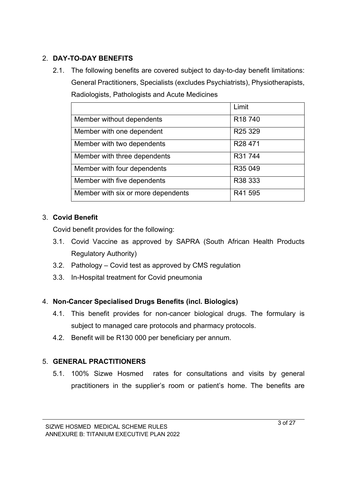## 2. **DAY-TO-DAY BENEFITS**

2.1. The following benefits are covered subject to day-to-day benefit limitations: General Practitioners, Specialists (excludes Psychiatrists), Physiotherapists, Radiologists, Pathologists and Acute Medicines

|                                    | Limit               |
|------------------------------------|---------------------|
| Member without dependents          | R <sub>18</sub> 740 |
| Member with one dependent          | R <sub>25</sub> 329 |
| Member with two dependents         | R <sub>28</sub> 471 |
| Member with three dependents       | R31 744             |
| Member with four dependents        | R35 049             |
| Member with five dependents        | R38 333             |
| Member with six or more dependents | R41 595             |

## 3. **Covid Benefit**

Covid benefit provides for the following:

- 3.1. Covid Vaccine as approved by SAPRA (South African Health Products Regulatory Authority)
- 3.2. Pathology Covid test as approved by CMS regulation
- 3.3. In-Hospital treatment for Covid pneumonia

## 4. **Non-Cancer Specialised Drugs Benefits (incl. Biologics)**

- 4.1. This benefit provides for non-cancer biological drugs. The formulary is subject to managed care protocols and pharmacy protocols.
- 4.2. Benefit will be R130 000 per beneficiary per annum.

## 5. **GENERAL PRACTITIONERS**

5.1. 100% Sizwe Hosmed rates for consultations and visits by general practitioners in the supplier's room or patient's home. The benefits are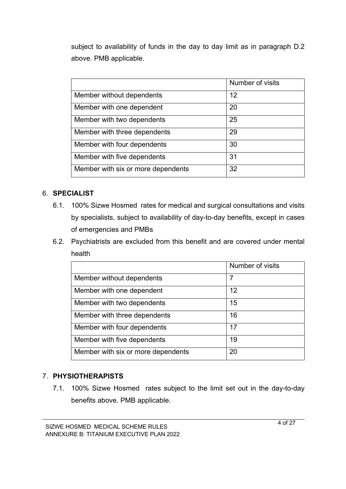subject to availability of funds in the day to day limit as in paragraph D.2 above. PMB applicable.

|                                    | Number of visits |
|------------------------------------|------------------|
| Member without dependents          | 12               |
| Member with one dependent          | 20               |
| Member with two dependents         | 25               |
| Member with three dependents       | 29               |
| Member with four dependents        | 30               |
| Member with five dependents        | 31               |
| Member with six or more dependents | 32               |

### 6. **SPECIALIST**

- 6.1. 100% Sizwe Hosmed rates for medical and surgical consultations and visits by specialists, subject to availability of day-to-day benefits, except in cases of emergencies and PMBs
- 6.2. Psychiatrists are excluded from this benefit and are covered under mental health

|                                    | Number of visits |
|------------------------------------|------------------|
| Member without dependents          | 7                |
| Member with one dependent          | 12               |
| Member with two dependents         | 15               |
| Member with three dependents       | 16               |
| Member with four dependents        | 17               |
| Member with five dependents        | 19               |
| Member with six or more dependents | 20               |

### 7. **PHYSIOTHERAPISTS**

7.1. 100% Sizwe Hosmed rates subject to the limit set out in the day-to-day benefits above. PMB applicable.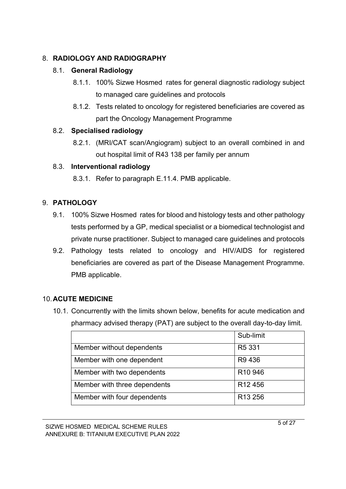## 8. **RADIOLOGY AND RADIOGRAPHY**

## 8.1. **General Radiology**

- 8.1.1. 100% Sizwe Hosmed rates for general diagnostic radiology subject to managed care guidelines and protocols
- 8.1.2. Tests related to oncology for registered beneficiaries are covered as part the Oncology Management Programme

## 8.2. **Specialised radiology**

8.2.1. (MRI/CAT scan/Angiogram) subject to an overall combined in and out hospital limit of R43 138 per family per annum

## 8.3. **Interventional radiology**

8.3.1. Refer to paragraph E.11.4. PMB applicable.

## 9. **PATHOLOGY**

- 9.1. 100% Sizwe Hosmed rates for blood and histology tests and other pathology tests performed by a GP, medical specialist or a biomedical technologist and private nurse practitioner. Subject to managed care guidelines and protocols
- 9.2. Pathology tests related to oncology and HIV/AIDS for registered beneficiaries are covered as part of the Disease Management Programme. PMB applicable.

## 10.**ACUTE MEDICINE**

10.1. Concurrently with the limits shown below, benefits for acute medication and pharmacy advised therapy (PAT) are subject to the overall day-to-day limit.

|                              | Sub-limit           |
|------------------------------|---------------------|
| Member without dependents    | R <sub>5</sub> 331  |
| Member with one dependent    | R9 436              |
| Member with two dependents   | R <sub>10</sub> 946 |
| Member with three dependents | R <sub>12</sub> 456 |
| Member with four dependents  | R <sub>13</sub> 256 |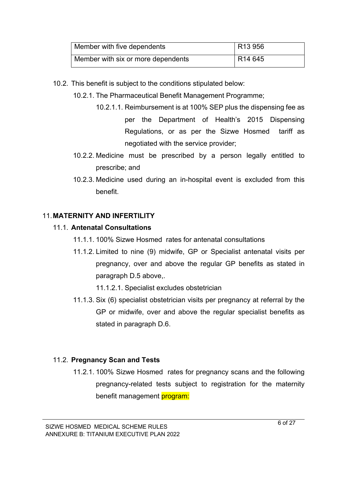| Member with five dependents        | R <sub>13</sub> 956 |
|------------------------------------|---------------------|
| Member with six or more dependents | R <sub>14</sub> 645 |

- 10.2. This benefit is subject to the conditions stipulated below:
	- 10.2.1. The Pharmaceutical Benefit Management Programme;
		- 10.2.1.1. Reimbursement is at 100% SEP plus the dispensing fee as per the Department of Health's 2015 Dispensing Regulations, or as per the Sizwe Hosmed tariff as negotiated with the service provider;
	- 10.2.2. Medicine must be prescribed by a person legally entitled to prescribe; and
	- 10.2.3. Medicine used during an in-hospital event is excluded from this benefit.

## 11.**MATERNITY AND INFERTILITY**

## 11.1. **Antenatal Consultations**

- 11.1.1. 100% Sizwe Hosmed rates for antenatal consultations
- 11.1.2. Limited to nine (9) midwife, GP or Specialist antenatal visits per pregnancy, over and above the regular GP benefits as stated in paragraph D.5 above,.

11.1.2.1. Specialist excludes obstetrician

11.1.3. Six (6) specialist obstetrician visits per pregnancy at referral by the GP or midwife, over and above the regular specialist benefits as stated in paragraph D.6.

## 11.2. **Pregnancy Scan and Tests**

11.2.1. 100% Sizwe Hosmed rates for pregnancy scans and the following pregnancy-related tests subject to registration for the maternity benefit management program: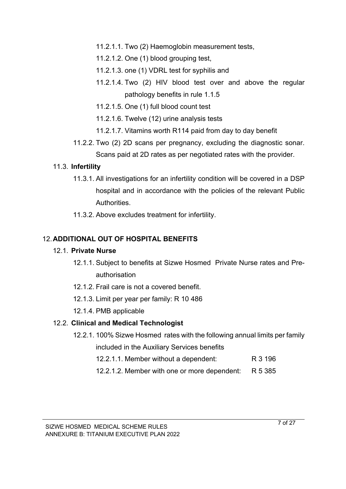11.2.1.1. Two (2) Haemoglobin measurement tests,

- 11.2.1.2. One (1) blood grouping test,
- 11.2.1.3. one (1) VDRL test for syphilis and
- 11.2.1.4. Two (2) HIV blood test over and above the regular pathology benefits in rule 1.1.5
- 11.2.1.5. One (1) full blood count test
- 11.2.1.6. Twelve (12) urine analysis tests
- 11.2.1.7. Vitamins worth R114 paid from day to day benefit
- 11.2.2. Two (2) 2D scans per pregnancy, excluding the diagnostic sonar. Scans paid at 2D rates as per negotiated rates with the provider.

### 11.3. **Infertility**

- 11.3.1. All investigations for an infertility condition will be covered in a DSP hospital and in accordance with the policies of the relevant Public Authorities.
- 11.3.2. Above excludes treatment for infertility.

### 12.**ADDITIONAL OUT OF HOSPITAL BENEFITS**

### 12.1. **Private Nurse**

- 12.1.1. Subject to benefits at Sizwe Hosmed Private Nurse rates and Preauthorisation
- 12.1.2. Frail care is not a covered benefit.
- 12.1.3. Limit per year per family: R 10 486
- 12.1.4. PMB applicable

## 12.2. **Clinical and Medical Technologist**

- 12.2.1. 100% Sizwe Hosmed rates with the following annual limits per family included in the Auxiliary Services benefits
	- 12.2.1.1. Member without a dependent: R 3 196
	- 12.2.1.2. Member with one or more dependent: R 5 385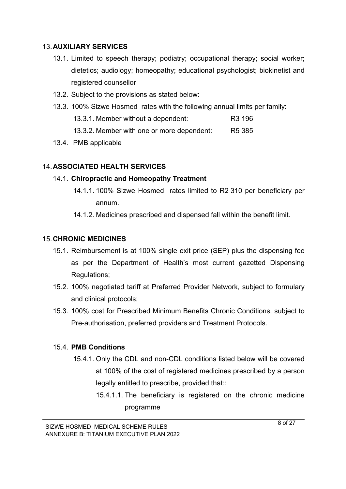### 13.**AUXILIARY SERVICES**

- 13.1. Limited to speech therapy; podiatry; occupational therapy; social worker; dietetics; audiology; homeopathy; educational psychologist; biokinetist and registered counsellor
- 13.2. Subject to the provisions as stated below:
- 13.3. 100% Sizwe Hosmed rates with the following annual limits per family: 13.3.1. Member without a dependent: R3 196 13.3.2. Member with one or more dependent: R5 385
- 13.4. PMB applicable

## 14.**ASSOCIATED HEALTH SERVICES**

### 14.1. **Chiropractic and Homeopathy Treatment**

- 14.1.1. 100% Sizwe Hosmed rates limited to R2 310 per beneficiary per annum.
- 14.1.2. Medicines prescribed and dispensed fall within the benefit limit.

### 15.**CHRONIC MEDICINES**

- 15.1. Reimbursement is at 100% single exit price (SEP) plus the dispensing fee as per the Department of Health's most current gazetted Dispensing Regulations;
- 15.2. 100% negotiated tariff at Preferred Provider Network, subject to formulary and clinical protocols;
- 15.3. 100% cost for Prescribed Minimum Benefits Chronic Conditions, subject to Pre-authorisation, preferred providers and Treatment Protocols.

## 15.4. **PMB Conditions**

- 15.4.1. Only the CDL and non-CDL conditions listed below will be covered at 100% of the cost of registered medicines prescribed by a person legally entitled to prescribe, provided that::
	- 15.4.1.1. The beneficiary is registered on the chronic medicine programme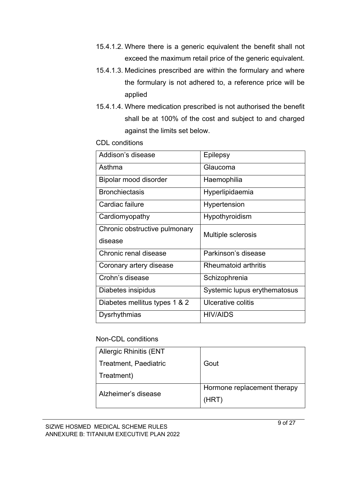- 15.4.1.2. Where there is a generic equivalent the benefit shall not exceed the maximum retail price of the generic equivalent.
- 15.4.1.3. Medicines prescribed are within the formulary and where the formulary is not adhered to, a reference price will be applied
- 15.4.1.4. Where medication prescribed is not authorised the benefit shall be at 100% of the cost and subject to and charged against the limits set below.

CDL conditions

| Addison's disease             | Epilepsy                     |
|-------------------------------|------------------------------|
| Asthma                        | Glaucoma                     |
| Bipolar mood disorder         | Haemophilia                  |
| <b>Bronchiectasis</b>         | Hyperlipidaemia              |
| Cardiac failure               | Hypertension                 |
| Cardiomyopathy                | Hypothyroidism               |
| Chronic obstructive pulmonary | Multiple sclerosis           |
| disease                       |                              |
| Chronic renal disease         | Parkinson's disease          |
| Coronary artery disease       | Rheumatoid arthritis         |
| Crohn's disease               | Schizophrenia                |
| Diabetes insipidus            | Systemic lupus erythematosus |
| Diabetes mellitus types 1 & 2 | Ulcerative colitis           |
| Dysrhythmias                  | <b>HIV/AIDS</b>              |

#### Non-CDL conditions

| <b>Allergic Rhinitis (ENT</b> |                             |
|-------------------------------|-----------------------------|
| Treatment, Paediatric         | Gout                        |
| Treatment)                    |                             |
| Alzheimer's disease           | Hormone replacement therapy |
|                               | (HRT)                       |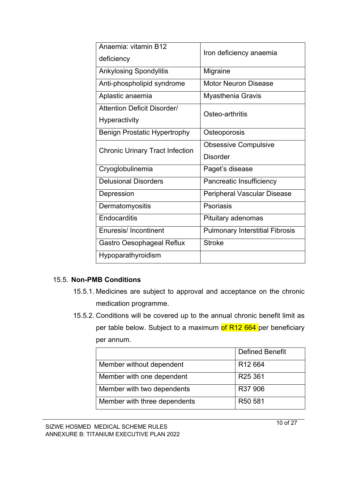| Anaemia: vitamin B12<br>deficiency                  | Iron deficiency anaemia                        |
|-----------------------------------------------------|------------------------------------------------|
| <b>Ankylosing Spondylitis</b>                       | Migraine                                       |
| Anti-phospholipid syndrome                          | <b>Motor Neuron Disease</b>                    |
| Aplastic anaemia                                    | <b>Myasthenia Gravis</b>                       |
| <b>Attention Deficit Disorder/</b><br>Hyperactivity | Osteo-arthritis                                |
| <b>Benign Prostatic Hypertrophy</b>                 | Osteoporosis                                   |
| <b>Chronic Urinary Tract Infection</b>              | <b>Obsessive Compulsive</b><br><b>Disorder</b> |
| Cryoglobulinemia                                    | Paget's disease                                |
| <b>Delusional Disorders</b>                         | Pancreatic Insufficiency                       |
| Depression                                          | Peripheral Vascular Disease                    |
| Dermatomyositis                                     | Psoriasis                                      |
| Endocarditis                                        | Pituitary adenomas                             |
| Enuresis/Incontinent                                | <b>Pulmonary Interstitial Fibrosis</b>         |
| Gastro Oesophageal Reflux                           | <b>Stroke</b>                                  |
| Hypoparathyroidism                                  |                                                |

### 15.5. **Non-PMB Conditions**

- 15.5.1. Medicines are subject to approval and acceptance on the chronic medication programme.
- 15.5.2. Conditions will be covered up to the annual chronic benefit limit as per table below. Subject to a maximum of R12 664 per beneficiary per annum.

|                              | <b>Defined Benefit</b> |
|------------------------------|------------------------|
| Member without dependent     | R <sub>12</sub> 664    |
| Member with one dependent    | R <sub>25</sub> 361    |
| Member with two dependents   | R37 906                |
| Member with three dependents | R <sub>50</sub> 581    |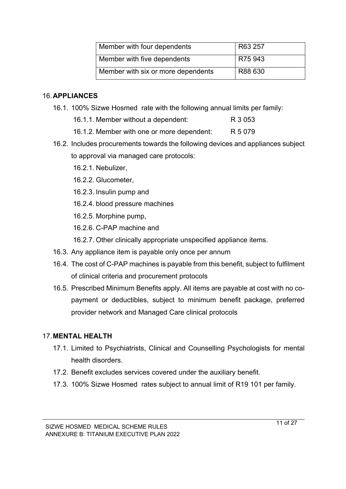| Member with four dependents        | R63 257 |
|------------------------------------|---------|
| Member with five dependents        | R75 943 |
| Member with six or more dependents | R88 630 |

### 16.**APPLIANCES**

- 16.1. 100% Sizwe Hosmed rate with the following annual limits per family:
	- 16.1.1. Member without a dependent: R 3 053
	- 16.1.2. Member with one or more dependent: R 5 079
- 16.2. Includes procurements towards the following devices and appliances subject to approval via managed care protocols:
	- 16.2.1. Nebulizer,
	- 16.2.2. Glucometer,
	- 16.2.3. Insulin pump and
	- 16.2.4. blood pressure machines
	- 16.2.5. Morphine pump,
	- 16.2.6. C-PAP machine and
	- 16.2.7. Other clinically appropriate unspecified appliance items.
- 16.3. Any appliance item is payable only once per annum
- 16.4. The cost of C-PAP machines is payable from this benefit, subject to fulfilment of clinical criteria and procurement protocols
- 16.5. Prescribed Minimum Benefits apply. All items are payable at cost with no copayment or deductibles, subject to minimum benefit package, preferred provider network and Managed Care clinical protocols

### 17.**MENTAL HEALTH**

- 17.1. Limited to Psychiatrists, Clinical and Counselling Psychologists for mental health disorders.
- 17.2. Benefit excludes services covered under the auxiliary benefit.
- 17.3. 100% Sizwe Hosmed rates subject to annual limit of R19 101 per family.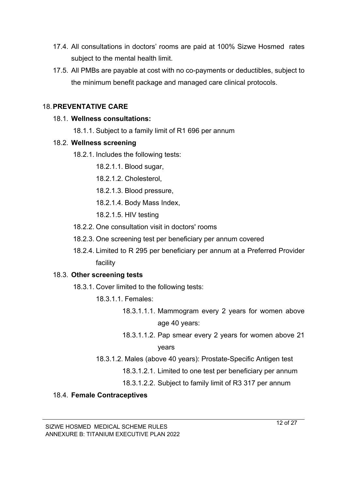- 17.4. All consultations in doctors' rooms are paid at 100% Sizwe Hosmed rates subject to the mental health limit.
- 17.5. All PMBs are payable at cost with no co-payments or deductibles, subject to the minimum benefit package and managed care clinical protocols.

### 18.**PREVENTATIVE CARE**

### 18.1. **Wellness consultations:**

18.1.1. Subject to a family limit of R1 696 per annum

### 18.2. **Wellness screening**

- 18.2.1. Includes the following tests:
	- 18.2.1.1. Blood sugar,
	- 18.2.1.2. Cholesterol,
	- 18.2.1.3. Blood pressure,
	- 18.2.1.4. Body Mass Index,
	- 18.2.1.5. HIV testing
- 18.2.2. One consultation visit in doctors' rooms
- 18.2.3. One screening test per beneficiary per annum covered
- 18.2.4. Limited to R 295 per beneficiary per annum at a Preferred Provider facility

## 18.3. **Other screening tests**

- 18.3.1. Cover limited to the following tests:
	- 18.3.1.1. Females:
		- 18.3.1.1.1. Mammogram every 2 years for women above age 40 years:
		- 18.3.1.1.2. Pap smear every 2 years for women above 21 years
	- 18.3.1.2. Males (above 40 years): Prostate-Specific Antigen test
		- 18.3.1.2.1. Limited to one test per beneficiary per annum
		- 18.3.1.2.2. Subject to family limit of R3 317 per annum

## 18.4. **Female Contraceptives**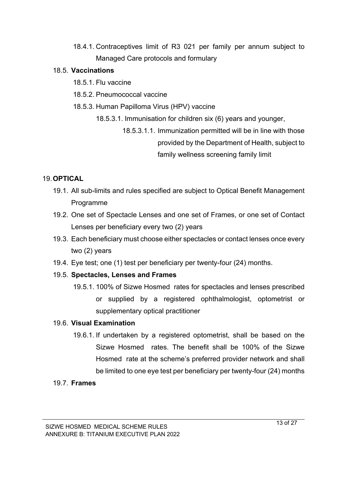18.4.1. Contraceptives limit of R3 021 per family per annum subject to Managed Care protocols and formulary

### 18.5. **Vaccinations**

- 18.5.1. Flu vaccine
- 18.5.2. Pneumococcal vaccine
- 18.5.3. Human Papilloma Virus (HPV) vaccine
	- 18.5.3.1. Immunisation for children six (6) years and younger,
		- 18.5.3.1.1. Immunization permitted will be in line with those provided by the Department of Health, subject to family wellness screening family limit

## 19.**OPTICAL**

- 19.1. All sub-limits and rules specified are subject to Optical Benefit Management Programme
- 19.2. One set of Spectacle Lenses and one set of Frames, or one set of Contact Lenses per beneficiary every two (2) years
- 19.3. Each beneficiary must choose either spectacles or contact lenses once every two (2) years
- 19.4. Eye test; one (1) test per beneficiary per twenty-four (24) months.

## 19.5. **Spectacles, Lenses and Frames**

19.5.1. 100% of Sizwe Hosmed rates for spectacles and lenses prescribed or supplied by a registered ophthalmologist, optometrist or supplementary optical practitioner

## 19.6. **Visual Examination**

19.6.1. If undertaken by a registered optometrist, shall be based on the Sizwe Hosmed rates. The benefit shall be 100% of the Sizwe Hosmed rate at the scheme's preferred provider network and shall be limited to one eye test per beneficiary per twenty-four (24) months

### 19.7. **Frames**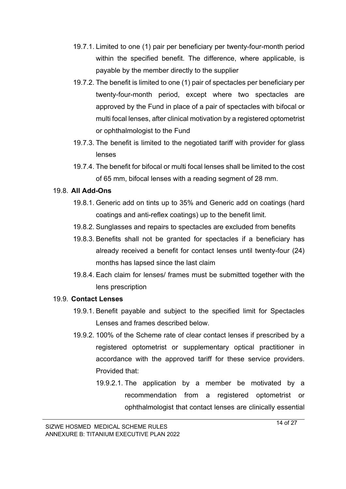- 19.7.1. Limited to one (1) pair per beneficiary per twenty-four-month period within the specified benefit. The difference, where applicable, is payable by the member directly to the supplier
- 19.7.2. The benefit is limited to one (1) pair of spectacles per beneficiary per twenty-four-month period, except where two spectacles are approved by the Fund in place of a pair of spectacles with bifocal or multi focal lenses, after clinical motivation by a registered optometrist or ophthalmologist to the Fund
- 19.7.3. The benefit is limited to the negotiated tariff with provider for glass lenses
- 19.7.4. The benefit for bifocal or multi focal lenses shall be limited to the cost of 65 mm, bifocal lenses with a reading segment of 28 mm.

### 19.8. **All Add-Ons**

- 19.8.1. Generic add on tints up to 35% and Generic add on coatings (hard coatings and anti-reflex coatings) up to the benefit limit.
- 19.8.2. Sunglasses and repairs to spectacles are excluded from benefits
- 19.8.3. Benefits shall not be granted for spectacles if a beneficiary has already received a benefit for contact lenses until twenty-four (24) months has lapsed since the last claim
- 19.8.4. Each claim for lenses/ frames must be submitted together with the lens prescription

### 19.9. **Contact Lenses**

- 19.9.1. Benefit payable and subject to the specified limit for Spectacles Lenses and frames described below.
- 19.9.2. 100% of the Scheme rate of clear contact lenses if prescribed by a registered optometrist or supplementary optical practitioner in accordance with the approved tariff for these service providers. Provided that:
	- 19.9.2.1. The application by a member be motivated by a recommendation from a registered optometrist or ophthalmologist that contact lenses are clinically essential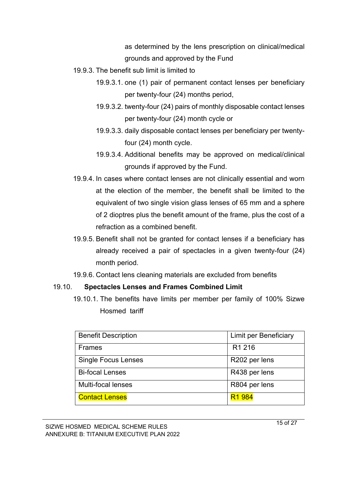as determined by the lens prescription on clinical/medical grounds and approved by the Fund

- 19.9.3. The benefit sub limit is limited to
	- 19.9.3.1. one (1) pair of permanent contact lenses per beneficiary per twenty-four (24) months period,
	- 19.9.3.2. twenty-four (24) pairs of monthly disposable contact lenses per twenty-four (24) month cycle or
	- 19.9.3.3. daily disposable contact lenses per beneficiary per twentyfour (24) month cycle.
	- 19.9.3.4. Additional benefits may be approved on medical/clinical grounds if approved by the Fund.
- 19.9.4. In cases where contact lenses are not clinically essential and worn at the election of the member, the benefit shall be limited to the equivalent of two single vision glass lenses of 65 mm and a sphere of 2 dioptres plus the benefit amount of the frame, plus the cost of a refraction as a combined benefit.
- 19.9.5. Benefit shall not be granted for contact lenses if a beneficiary has already received a pair of spectacles in a given twenty-four (24) month period.
- 19.9.6. Contact lens cleaning materials are excluded from benefits

### 19.10. **Spectacles Lenses and Frames Combined Limit**

19.10.1. The benefits have limits per member per family of 100% Sizwe Hosmed tariff

| <b>Benefit Description</b> | Limit per Beneficiary |
|----------------------------|-----------------------|
| <b>Frames</b>              | R <sub>1</sub> 216    |
| <b>Single Focus Lenses</b> | R202 per lens         |
| <b>Bi-focal Lenses</b>     | R438 per lens         |
| <b>Multi-focal lenses</b>  | R804 per lens         |
| <b>Contact Lenses</b>      | R <sub>1</sub> 984    |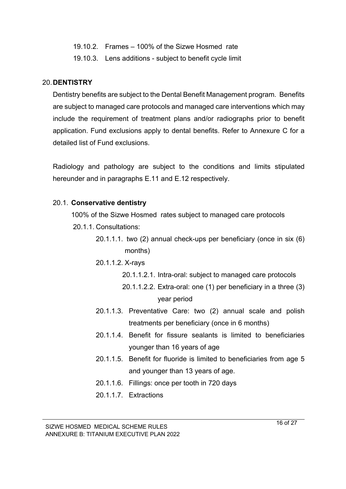- 19.10.2. Frames 100% of the Sizwe Hosmed rate
- 19.10.3. Lens additions subject to benefit cycle limit

#### 20.**DENTISTRY**

Dentistry benefits are subject to the Dental Benefit Management program. Benefits are subject to managed care protocols and managed care interventions which may include the requirement of treatment plans and/or radiographs prior to benefit application. Fund exclusions apply to dental benefits. Refer to Annexure C for a detailed list of Fund exclusions.

Radiology and pathology are subject to the conditions and limits stipulated hereunder and in paragraphs E.11 and E.12 respectively.

### 20.1. **Conservative dentistry**

100% of the Sizwe Hosmed rates subject to managed care protocols

- 20.1.1. Consultations:
	- 20.1.1.1. two (2) annual check-ups per beneficiary (once in six (6) months)
	- 20.1.1.2. X-rays
		- 20.1.1.2.1. Intra-oral: subject to managed care protocols
		- 20.1.1.2.2. Extra-oral: one (1) per beneficiary in a three (3) year period
	- 20.1.1.3. Preventative Care: two (2) annual scale and polish treatments per beneficiary (once in 6 months)
	- 20.1.1.4. Benefit for fissure sealants is limited to beneficiaries younger than 16 years of age
	- 20.1.1.5. Benefit for fluoride is limited to beneficiaries from age 5 and younger than 13 years of age.
	- 20.1.1.6. Fillings: once per tooth in 720 days
	- 20.1.1.7. Extractions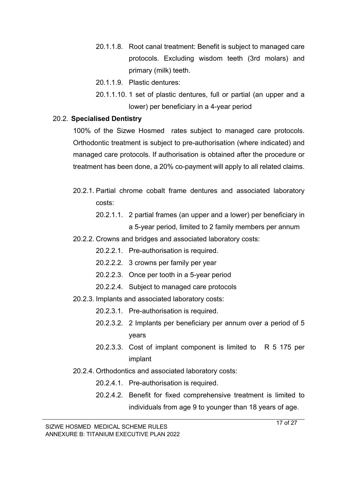- 20.1.1.8. Root canal treatment: Benefit is subject to managed care protocols. Excluding wisdom teeth (3rd molars) and primary (milk) teeth.
- 20.1.1.9. Plastic dentures:
- 20.1.1.10. 1 set of plastic dentures, full or partial (an upper and a lower) per beneficiary in a 4-year period

#### 20.2. **Specialised Dentistry**

100% of the Sizwe Hosmed rates subject to managed care protocols. Orthodontic treatment is subject to pre-authorisation (where indicated) and managed care protocols. If authorisation is obtained after the procedure or treatment has been done, a 20% co-payment will apply to all related claims.

- 20.2.1. Partial chrome cobalt frame dentures and associated laboratory costs:
	- 20.2.1.1. 2 partial frames (an upper and a lower) per beneficiary in a 5-year period, limited to 2 family members per annum
- 20.2.2. Crowns and bridges and associated laboratory costs:
	- 20.2.2.1. Pre-authorisation is required.
	- 20.2.2.2. 3 crowns per family per year
	- 20.2.2.3. Once per tooth in a 5-year period
	- 20.2.2.4. Subject to managed care protocols
- 20.2.3. Implants and associated laboratory costs:
	- 20.2.3.1. Pre-authorisation is required.
	- 20.2.3.2. 2 Implants per beneficiary per annum over a period of 5 years
	- 20.2.3.3. Cost of implant component is limited to R 5 175 per implant
- 20.2.4. Orthodontics and associated laboratory costs:
	- 20.2.4.1. Pre-authorisation is required.
	- 20.2.4.2. Benefit for fixed comprehensive treatment is limited to individuals from age 9 to younger than 18 years of age.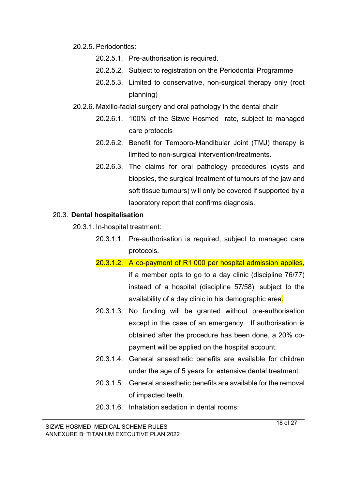- 20.2.5. Periodontics:
	- 20.2.5.1. Pre-authorisation is required.
	- 20.2.5.2. Subject to registration on the Periodontal Programme
	- 20.2.5.3. Limited to conservative, non-surgical therapy only (root planning)
- 20.2.6. Maxillo-facial surgery and oral pathology in the dental chair
	- 20.2.6.1. 100% of the Sizwe Hosmed rate, subject to managed care protocols
	- 20.2.6.2. Benefit for Temporo-Mandibular Joint (TMJ) therapy is limited to non-surgical intervention/treatments.
	- 20.2.6.3. The claims for oral pathology procedures (cysts and biopsies, the surgical treatment of tumours of the jaw and soft tissue tumours) will only be covered if supported by a laboratory report that confirms diagnosis.

#### 20.3. **Dental hospitalisation**

20.3.1. In-hospital treatment:

- 20.3.1.1. Pre-authorisation is required, subject to managed care protocols.
- 20.3.1.2. A co-payment of R1 000 per hospital admission applies, if a member opts to go to a day clinic (discipline 76/77) instead of a hospital (discipline 57/58), subject to the availability of a day clinic in his demographic area.
- 20.3.1.3. No funding will be granted without pre-authorisation except in the case of an emergency. If authorisation is obtained after the procedure has been done, a 20% copayment will be applied on the hospital account.
- 20.3.1.4. General anaesthetic benefits are available for children under the age of 5 years for extensive dental treatment.
- 20.3.1.5. General anaesthetic benefits are available for the removal of impacted teeth.
- 20.3.1.6. Inhalation sedation in dental rooms: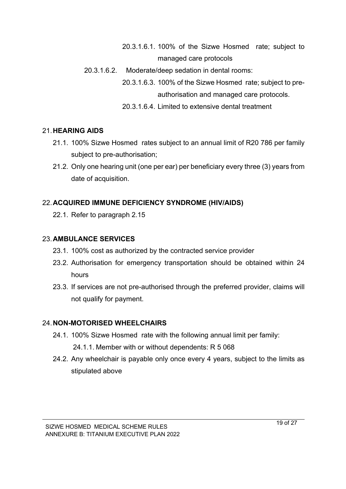- 20.3.1.6.1. 100% of the Sizwe Hosmed rate; subject to managed care protocols
- 20.3.1.6.2. Moderate/deep sedation in dental rooms:

20.3.1.6.3. 100% of the Sizwe Hosmed rate; subject to preauthorisation and managed care protocols.

20.3.1.6.4. Limited to extensive dental treatment

## 21.**HEARING AIDS**

- 21.1. 100% Sizwe Hosmed rates subject to an annual limit of R20 786 per family subject to pre-authorisation;
- 21.2. Only one hearing unit (one per ear) per beneficiary every three (3) years from date of acquisition.

## 22.**ACQUIRED IMMUNE DEFICIENCY SYNDROME (HIV/AIDS)**

22.1. Refer to paragraph 2.15

## 23.**AMBULANCE SERVICES**

- 23.1. 100% cost as authorized by the contracted service provider
- 23.2. Authorisation for emergency transportation should be obtained within 24 hours
- 23.3. If services are not pre-authorised through the preferred provider, claims will not qualify for payment.

## 24.**NON-MOTORISED WHEELCHAIRS**

- 24.1. 100% Sizwe Hosmed rate with the following annual limit per family: 24.1.1. Member with or without dependents: R 5 068
- 24.2. Any wheelchair is payable only once every 4 years, subject to the limits as stipulated above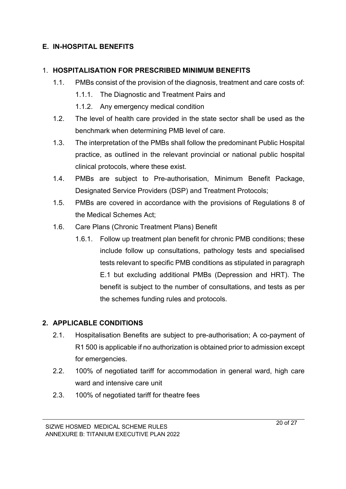## **E. IN-HOSPITAL BENEFITS**

### 1. **HOSPITALISATION FOR PRESCRIBED MINIMUM BENEFITS**

- 1.1. PMBs consist of the provision of the diagnosis, treatment and care costs of:
	- 1.1.1. The Diagnostic and Treatment Pairs and
	- 1.1.2. Any emergency medical condition
- 1.2. The level of health care provided in the state sector shall be used as the benchmark when determining PMB level of care.
- 1.3. The interpretation of the PMBs shall follow the predominant Public Hospital practice, as outlined in the relevant provincial or national public hospital clinical protocols, where these exist.
- 1.4. PMBs are subject to Pre-authorisation, Minimum Benefit Package, Designated Service Providers (DSP) and Treatment Protocols;
- 1.5. PMBs are covered in accordance with the provisions of Regulations 8 of the Medical Schemes Act;
- 1.6. Care Plans (Chronic Treatment Plans) Benefit
	- 1.6.1. Follow up treatment plan benefit for chronic PMB conditions; these include follow up consultations, pathology tests and specialised tests relevant to specific PMB conditions as stipulated in paragraph E.1 but excluding additional PMBs (Depression and HRT). The benefit is subject to the number of consultations, and tests as per the schemes funding rules and protocols.

## **2. APPLICABLE CONDITIONS**

- 2.1. Hospitalisation Benefits are subject to pre-authorisation; A co-payment of R1 500 is applicable if no authorization is obtained prior to admission except for emergencies.
- 2.2. 100% of negotiated tariff for accommodation in general ward, high care ward and intensive care unit
- 2.3. 100% of negotiated tariff for theatre fees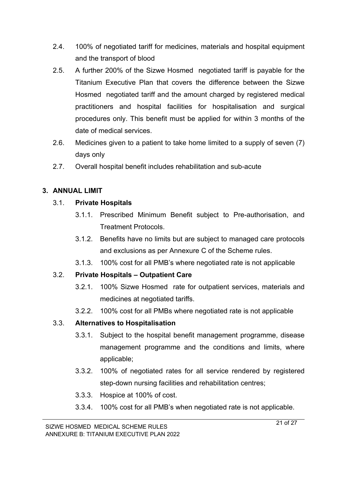- 2.4. 100% of negotiated tariff for medicines, materials and hospital equipment and the transport of blood
- 2.5. A further 200% of the Sizwe Hosmed negotiated tariff is payable for the Titanium Executive Plan that covers the difference between the Sizwe Hosmed negotiated tariff and the amount charged by registered medical practitioners and hospital facilities for hospitalisation and surgical procedures only. This benefit must be applied for within 3 months of the date of medical services.
- 2.6. Medicines given to a patient to take home limited to a supply of seven (7) days only
- 2.7. Overall hospital benefit includes rehabilitation and sub-acute

## **3. ANNUAL LIMIT**

## 3.1. **Private Hospitals**

- 3.1.1. Prescribed Minimum Benefit subject to Pre-authorisation, and Treatment Protocols.
- 3.1.2. Benefits have no limits but are subject to managed care protocols and exclusions as per Annexure C of the Scheme rules.
- 3.1.3. 100% cost for all PMB's where negotiated rate is not applicable

## 3.2. **Private Hospitals – Outpatient Care**

- 3.2.1. 100% Sizwe Hosmed rate for outpatient services, materials and medicines at negotiated tariffs.
- 3.2.2. 100% cost for all PMBs where negotiated rate is not applicable

## 3.3. **Alternatives to Hospitalisation**

- 3.3.1. Subject to the hospital benefit management programme, disease management programme and the conditions and limits, where applicable;
- 3.3.2. 100% of negotiated rates for all service rendered by registered step-down nursing facilities and rehabilitation centres;
- 3.3.3. Hospice at 100% of cost.
- 3.3.4. 100% cost for all PMB's when negotiated rate is not applicable.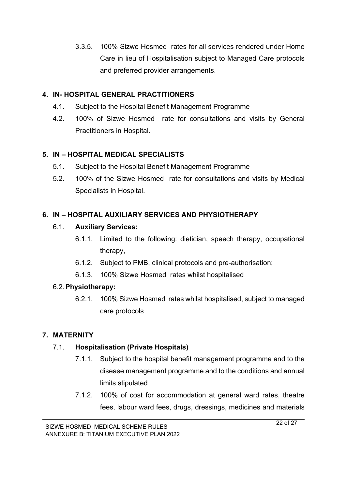3.3.5. 100% Sizwe Hosmed rates for all services rendered under Home Care in lieu of Hospitalisation subject to Managed Care protocols and preferred provider arrangements.

### **4. IN- HOSPITAL GENERAL PRACTITIONERS**

- 4.1. Subject to the Hospital Benefit Management Programme
- 4.2. 100% of Sizwe Hosmed rate for consultations and visits by General Practitioners in Hospital.

### **5. IN – HOSPITAL MEDICAL SPECIALISTS**

- 5.1. Subject to the Hospital Benefit Management Programme
- 5.2. 100% of the Sizwe Hosmed rate for consultations and visits by Medical Specialists in Hospital.

## **6. IN – HOSPITAL AUXILIARY SERVICES AND PHYSIOTHERAPY**

### 6.1. **Auxiliary Services:**

- 6.1.1. Limited to the following: dietician, speech therapy, occupational therapy,
- 6.1.2. Subject to PMB, clinical protocols and pre-authorisation;
- 6.1.3. 100% Sizwe Hosmed rates whilst hospitalised

### 6.2.**Physiotherapy:**

6.2.1. 100% Sizwe Hosmed rates whilst hospitalised, subject to managed care protocols

## **7. MATERNITY**

## 7.1. **Hospitalisation (Private Hospitals)**

- 7.1.1. Subject to the hospital benefit management programme and to the disease management programme and to the conditions and annual limits stipulated
- 7.1.2. 100% of cost for accommodation at general ward rates, theatre fees, labour ward fees, drugs, dressings, medicines and materials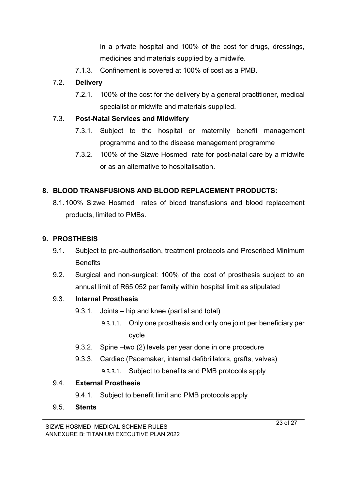in a private hospital and 100% of the cost for drugs, dressings, medicines and materials supplied by a midwife.

7.1.3. Confinement is covered at 100% of cost as a PMB.

## 7.2. **Delivery**

7.2.1. 100% of the cost for the delivery by a general practitioner, medical specialist or midwife and materials supplied.

## 7.3. **Post-Natal Services and Midwifery**

- 7.3.1. Subject to the hospital or maternity benefit management programme and to the disease management programme
- 7.3.2. 100% of the Sizwe Hosmed rate for post-natal care by a midwife or as an alternative to hospitalisation.

# **8. BLOOD TRANSFUSIONS AND BLOOD REPLACEMENT PRODUCTS:**

8.1.100% Sizwe Hosmed rates of blood transfusions and blood replacement products, limited to PMBs.

## **9. PROSTHESIS**

- 9.1. Subject to pre-authorisation, treatment protocols and Prescribed Minimum **Benefits**
- 9.2. Surgical and non-surgical: 100% of the cost of prosthesis subject to an annual limit of R65 052 per family within hospital limit as stipulated

## 9.3. **Internal Prosthesis**

- 9.3.1. Joints hip and knee (partial and total)
	- 9.3.1.1. Only one prosthesis and only one joint per beneficiary per cycle
- 9.3.2. Spine –two (2) levels per year done in one procedure
- 9.3.3. Cardiac (Pacemaker, internal defibrillators, grafts, valves)
	- 9.3.3.1. Subject to benefits and PMB protocols apply

## 9.4. **External Prosthesis**

9.4.1. Subject to benefit limit and PMB protocols apply

## 9.5. **Stents**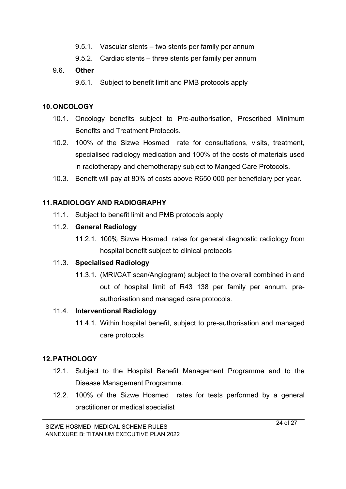- 9.5.1. Vascular stents two stents per family per annum
- 9.5.2. Cardiac stents three stents per family per annum

### 9.6. **Other**

9.6.1. Subject to benefit limit and PMB protocols apply

### **10.ONCOLOGY**

- 10.1. Oncology benefits subject to Pre-authorisation, Prescribed Minimum Benefits and Treatment Protocols.
- 10.2. 100% of the Sizwe Hosmed rate for consultations, visits, treatment, specialised radiology medication and 100% of the costs of materials used in radiotherapy and chemotherapy subject to Manged Care Protocols.
- 10.3. Benefit will pay at 80% of costs above R650 000 per beneficiary per year.

## **11.RADIOLOGY AND RADIOGRAPHY**

11.1. Subject to benefit limit and PMB protocols apply

### 11.2. **General Radiology**

11.2.1. 100% Sizwe Hosmed rates for general diagnostic radiology from hospital benefit subject to clinical protocols

## 11.3. **Specialised Radiology**

11.3.1. (MRI/CAT scan/Angiogram) subject to the overall combined in and out of hospital limit of R43 138 per family per annum, preauthorisation and managed care protocols.

## 11.4. **Interventional Radiology**

11.4.1. Within hospital benefit, subject to pre-authorisation and managed care protocols

## **12.PATHOLOGY**

- 12.1. Subject to the Hospital Benefit Management Programme and to the Disease Management Programme.
- 12.2. 100% of the Sizwe Hosmed rates for tests performed by a general practitioner or medical specialist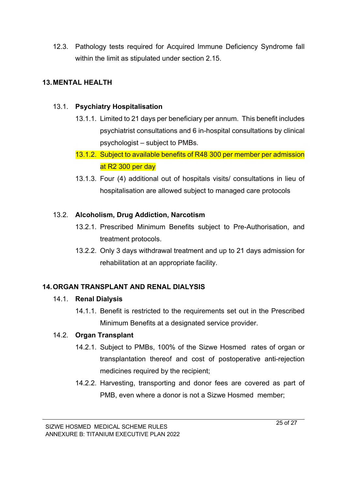12.3. Pathology tests required for Acquired Immune Deficiency Syndrome fall within the limit as stipulated under section 2.15.

## **13.MENTAL HEALTH**

### 13.1. **Psychiatry Hospitalisation**

- 13.1.1. Limited to 21 days per beneficiary per annum. This benefit includes psychiatrist consultations and 6 in-hospital consultations by clinical psychologist – subject to PMBs.
- 13.1.2. Subject to available benefits of R48 300 per member per admission at R2 300 per day
- 13.1.3. Four (4) additional out of hospitals visits/ consultations in lieu of hospitalisation are allowed subject to managed care protocols

### 13.2. **Alcoholism, Drug Addiction, Narcotism**

- 13.2.1. Prescribed Minimum Benefits subject to Pre-Authorisation, and treatment protocols.
- 13.2.2. Only 3 days withdrawal treatment and up to 21 days admission for rehabilitation at an appropriate facility.

## **14.ORGAN TRANSPLANT AND RENAL DIALYSIS**

### 14.1. **Renal Dialysis**

14.1.1. Benefit is restricted to the requirements set out in the Prescribed Minimum Benefits at a designated service provider.

### 14.2. **Organ Transplant**

- 14.2.1. Subject to PMBs, 100% of the Sizwe Hosmed rates of organ or transplantation thereof and cost of postoperative anti-rejection medicines required by the recipient;
- 14.2.2. Harvesting, transporting and donor fees are covered as part of PMB, even where a donor is not a Sizwe Hosmed member;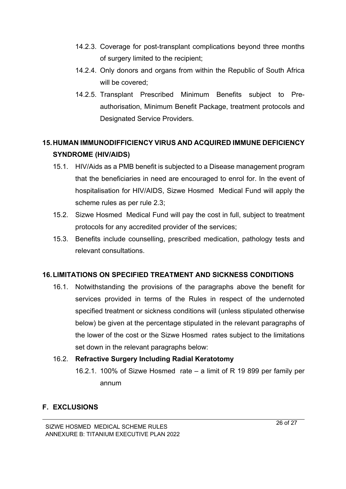- 14.2.3. Coverage for post-transplant complications beyond three months of surgery limited to the recipient;
- 14.2.4. Only donors and organs from within the Republic of South Africa will be covered;
- 14.2.5. Transplant Prescribed Minimum Benefits subject to Preauthorisation, Minimum Benefit Package, treatment protocols and Designated Service Providers.

# **15.HUMAN IMMUNODIFFICIENCY VIRUS AND ACQUIRED IMMUNE DEFICIENCY SYNDROME (HIV/AIDS)**

- 15.1. HIV/Aids as a PMB benefit is subjected to a Disease management program that the beneficiaries in need are encouraged to enrol for. In the event of hospitalisation for HIV/AIDS, Sizwe Hosmed Medical Fund will apply the scheme rules as per rule 2.3;
- 15.2. Sizwe Hosmed Medical Fund will pay the cost in full, subject to treatment protocols for any accredited provider of the services;
- 15.3. Benefits include counselling, prescribed medication, pathology tests and relevant consultations.

## **16.LIMITATIONS ON SPECIFIED TREATMENT AND SICKNESS CONDITIONS**

16.1. Notwithstanding the provisions of the paragraphs above the benefit for services provided in terms of the Rules in respect of the undernoted specified treatment or sickness conditions will (unless stipulated otherwise below) be given at the percentage stipulated in the relevant paragraphs of the lower of the cost or the Sizwe Hosmed rates subject to the limitations set down in the relevant paragraphs below:

## 16.2. **Refractive Surgery Including Radial Keratotomy**

16.2.1. 100% of Sizwe Hosmed rate – a limit of R 19 899 per family per annum

## **F. EXCLUSIONS**